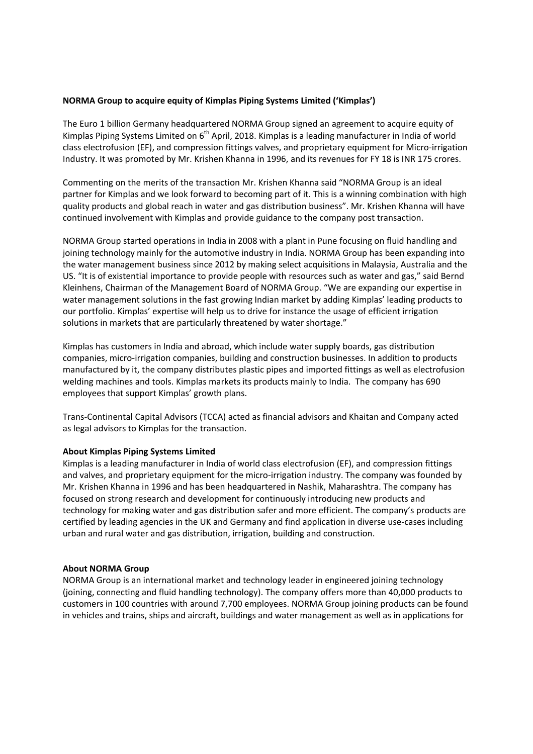## **NORMA Group to acquire equity of Kimplas Piping Systems Limited ('Kimplas')**

The Euro 1 billion Germany headquartered NORMA Group signed an agreement to acquire equity of Kimplas Piping Systems Limited on  $6<sup>th</sup>$  April, 2018. Kimplas is a leading manufacturer in India of world class electrofusion (EF), and compression fittings valves, and proprietary equipment for Micro-irrigation Industry. It was promoted by Mr. Krishen Khanna in 1996, and its revenues for FY 18 is INR 175 crores.

Commenting on the merits of the transaction Mr. Krishen Khanna said "NORMA Group is an ideal partner for Kimplas and we look forward to becoming part of it. This is a winning combination with high quality products and global reach in water and gas distribution business". Mr. Krishen Khanna will have continued involvement with Kimplas and provide guidance to the company post transaction.

NORMA Group started operations in India in 2008 with a plant in Pune focusing on fluid handling and joining technology mainly for the automotive industry in India. NORMA Group has been expanding into the water management business since 2012 by making select acquisitions in Malaysia, Australia and the US. "It is of existential importance to provide people with resources such as water and gas," said Bernd Kleinhens, Chairman of the Management Board of NORMA Group. "We are expanding our expertise in water management solutions in the fast growing Indian market by adding Kimplas' leading products to our portfolio. Kimplas' expertise will help us to drive for instance the usage of efficient irrigation solutions in markets that are particularly threatened by water shortage."

Kimplas has customers in India and abroad, which include water supply boards, gas distribution companies, micro-irrigation companies, building and construction businesses. In addition to products manufactured by it, the company distributes plastic pipes and imported fittings as well as electrofusion welding machines and tools. Kimplas markets its products mainly to India. The company has 690 employees that support Kimplas' growth plans.

Trans-Continental Capital Advisors (TCCA) acted as financial advisors and Khaitan and Company acted as legal advisors to Kimplas for the transaction.

## **About Kimplas Piping Systems Limited**

Kimplas is a leading manufacturer in India of world class electrofusion (EF), and compression fittings and valves, and proprietary equipment for the micro-irrigation industry. The company was founded by Mr. Krishen Khanna in 1996 and has been headquartered in Nashik, Maharashtra. The company has focused on strong research and development for continuously introducing new products and technology for making water and gas distribution safer and more efficient. The company's products are certified by leading agencies in the UK and Germany and find application in diverse use-cases including urban and rural water and gas distribution, irrigation, building and construction.

## **About NORMA Group**

NORMA Group is an international market and technology leader in engineered joining technology (joining, connecting and fluid handling technology). The company offers more than 40,000 products to customers in 100 countries with around 7,700 employees. NORMA Group joining products can be found in vehicles and trains, ships and aircraft, buildings and water management as well as in applications for